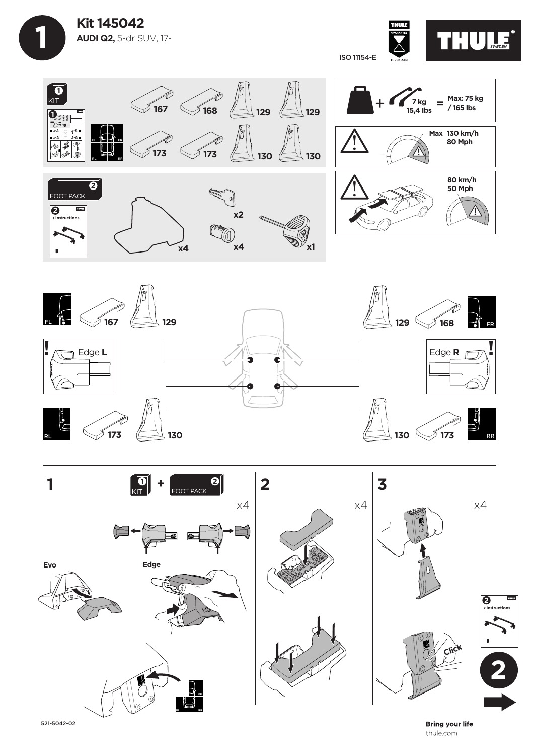



**Bring your life** thule.com







521-5042-02